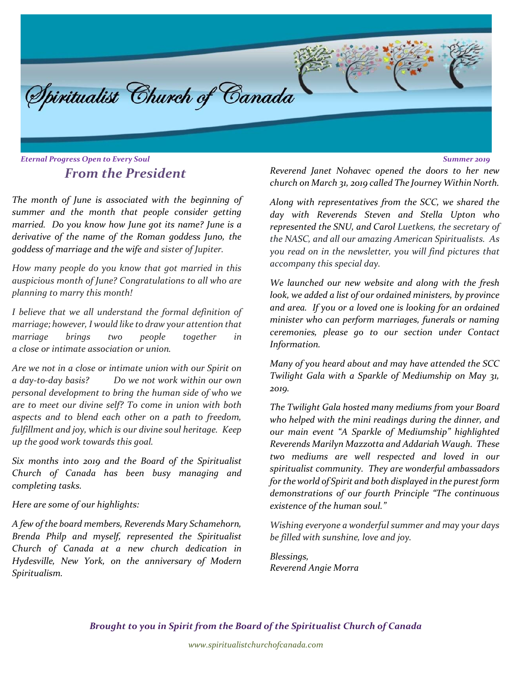

# *From the President*

*The month of June is associated with the beginning of summer and the month that people consider getting married. Do you know how June got its name? June is a derivative of the name of the Roman goddess Juno, the goddess of marriage and the wife and sister of Jupiter.*

*How many people do you know that got married in this auspicious month of June? Congratulations to all who are planning to marry this month!*

*I believe that we all understand the formal definition of marriage; however, I would like to draw your attention that marriage brings two people together in a close or intimate association or union.* 

*Are we not in a close or intimate union with our Spirit on a day-to-day basis? Do we not work within our own personal development to bring the human side of who we are to meet our divine self? To come in union with both aspects and to blend each other on a path to freedom, fulfillment and joy, which is our divine soul heritage. Keep up the good work towards this goal.*

*Six months into 2019 and the Board of the Spiritualist Church of Canada has been busy managing and completing tasks.*

*Here are some of our highlights:*

*A few of the board members, Reverends Mary Schamehorn, Brenda Philp and myself, represented the Spiritualist Church of Canada at a new church dedication in Hydesville, New York, on the anniversary of Modern Spiritualism.* 

*Reverend Janet Nohavec opened the doors to her new church on March 31, 2019 called The Journey Within North.* 

*Along with representatives from the SCC, we shared the day with Reverends Steven and Stella Upton who represented the SNU, and Carol Luetkens, the secretary of the NASC, and all our amazing American Spiritualists. As you read on in the newsletter, you will find pictures that accompany this special day.*

*We launched our new website and along with the fresh look, we added a list of our ordained ministers, by province and area. If you or a loved one is looking for an ordained minister who can perform marriages, funerals or naming ceremonies, please go to our section under Contact Information.*

*Many of you heard about and may have attended the SCC Twilight Gala with a Sparkle of Mediumship on May 31, 2019.*

*The Twilight Gala hosted many mediums from your Board who helped with the mini readings during the dinner, and our main event "A Sparkle of Mediumship" highlighted Reverends Marilyn Mazzotta and Addariah Waugh. These two mediums are well respected and loved in our spiritualist community. They are wonderful ambassadors for the world of Spirit and both displayed in the purest form demonstrations of our fourth Principle "The continuous existence of the human soul."* 

*Wishing everyone a wonderful summer and may your days be filled with sunshine, love and joy.*

*Blessings, Reverend Angie Morra*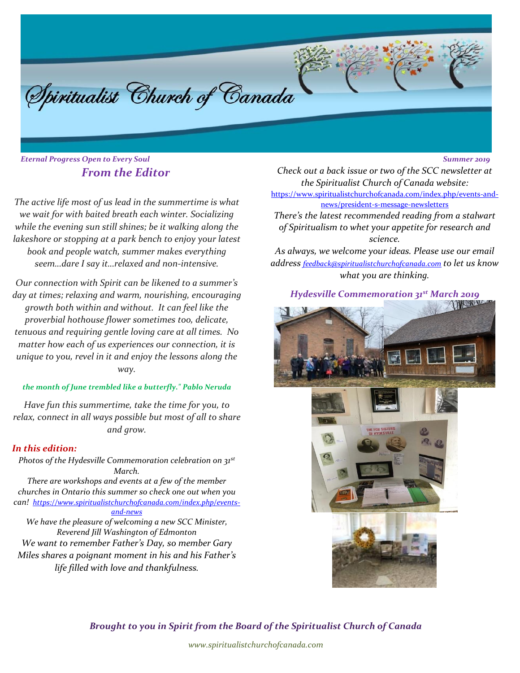Spiritualist Church of Canada

*Eternal Progress Open to Every Soul Summer 2019 From the Editor*

*The active life most of us lead in the summertime is what we wait for with baited breath each winter. Socializing while the evening sun still shines; be it walking along the lakeshore or stopping at a park bench to enjoy your latest book and people watch, summer makes everything seem…dare I say it…relaxed and non-intensive.*

*Our connection with Spirit can be likened to a summer's day at times; relaxing and warm, nourishing, encouraging growth both within and without. It can feel like the proverbial hothouse flower sometimes too, delicate, tenuous and requiring gentle loving care at all times. No matter how each of us experiences our connection, it is unique to you, revel in it and enjoy the lessons along the way.*

#### *the month of June trembled like a butterfly." Pablo Neruda*

*Have fun this summertime, take the time for you, to relax, connect in all ways possible but most of all to share and grow.*

#### *In this edition:*

*Photos of the Hydesville Commemoration celebration on 31st March.*

*There are workshops and events at a few of the member churches in Ontario this summer so check one out when you can! [https://www.spiritualistchurchofcanada.com/index.php/events](https://www.spiritualistchurchofcanada.com/index.php/events-and-news/)[and-news](https://www.spiritualistchurchofcanada.com/index.php/events-and-news/)*

*We have the pleasure of welcoming a new SCC Minister, Reverend Jill Washington of Edmonton We want to remember Father's Day, so member Gary Miles shares a poignant moment in his and his Father's life filled with love and thankfulness.*

*Check out a back issue or two of the SCC newsletter at the Spiritualist Church of Canada website:* 

[https://www.spiritualistchurchofcanada.com/index.php/events-and](https://www.spiritualistchurchofcanada.com/index.php/events-and-news/president-s-message-newsletters)[news/president-s-message-newsletters](https://www.spiritualistchurchofcanada.com/index.php/events-and-news/president-s-message-newsletters)

*There's the latest recommended reading from a stalwart of Spiritualism to whet your appetite for research and science.*

*As always, we welcome your ideas. Please use our email address [feedback@spiritualistchurchofcanada.com](mailto:feedback@spiritualistchurchofcanada.com) to let us know what you are thinking.*

*Hydesville Commemoration 31st March 2019*



*Brought to you in Spirit from the Board of the Spiritualist Church of Canada* 

*www.spiritualistchurchofcanada.com*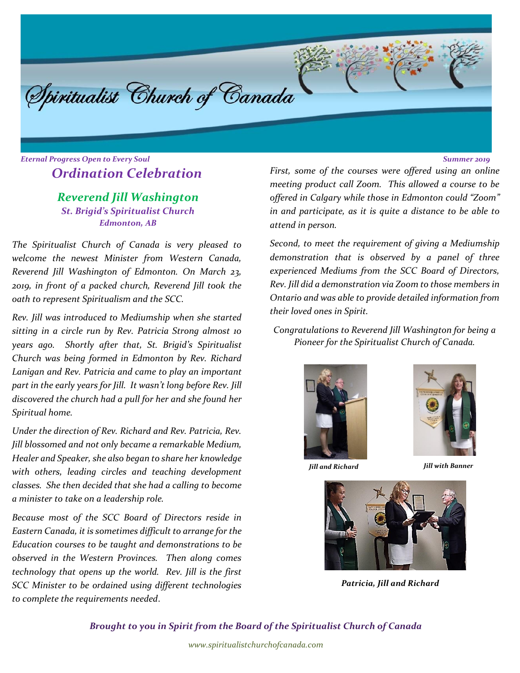

# *Eternal Progress Open to Every Soul Summer 2019 Ordination Celebration*

# *Reverend Jill Washington St. Brigid's Spiritualist Church Edmonton, AB*

*The Spiritualist Church of Canada is very pleased to welcome the newest Minister from Western Canada, Reverend Jill Washington of Edmonton. On March 23, 2019, in front of a packed church, Reverend Jill took the oath to represent Spiritualism and the SCC.*

*Rev. Jill was introduced to Mediumship when she started sitting in a circle run by Rev. Patricia Strong almost 10 years ago. Shortly after that, St. Brigid's Spiritualist Church was being formed in Edmonton by Rev. Richard Lanigan and Rev. Patricia and came to play an important part in the early years for Jill. It wasn't long before Rev. Jill discovered the church had a pull for her and she found her Spiritual home.*

*Under the direction of Rev. Richard and Rev. Patricia, Rev. Jill blossomed and not only became a remarkable Medium, Healer and Speaker, she also began to share her knowledge with others, leading circles and teaching development classes. She then decided that she had a calling to become a minister to take on a leadership role.*

*Because most of the SCC Board of Directors reside in Eastern Canada, it is sometimes difficult to arrange for the Education courses to be taught and demonstrations to be observed in the Western Provinces. Then along comes technology that opens up the world. Rev. Jill is the first SCC Minister to be ordained using different technologies to complete the requirements needed*.

*First, some of the courses were offered using an online meeting product call Zoom. This allowed a course to be offered in Calgary while those in Edmonton could "Zoom" in and participate, as it is quite a distance to be able to attend in person.* 

*Second, to meet the requirement of giving a Mediumship demonstration that is observed by a panel of three experienced Mediums from the SCC Board of Directors, Rev. Jill did a demonstration via Zoom to those members in Ontario and was able to provide detailed information from their loved ones in Spirit.*

*Congratulations to Reverend Jill Washington for being a Pioneer for the Spiritualist Church of Canada.*





*Jill and Richard Jill with Banner*



*Patricia, Jill and Richard*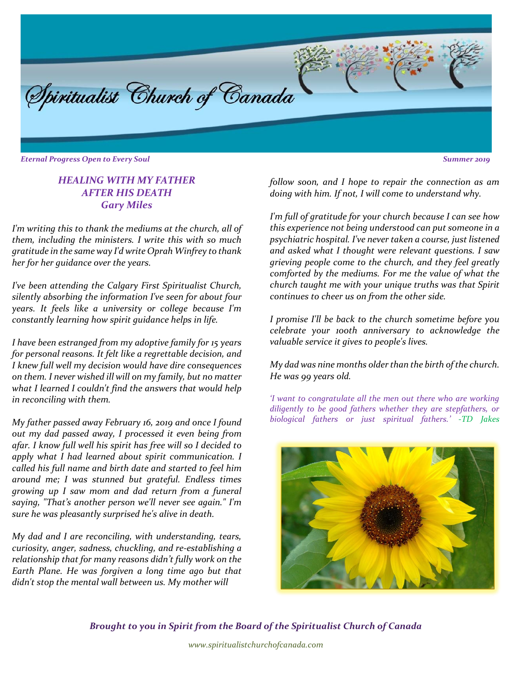

*Eternal Progress Open to Every Soul Summer 2019*

#### *HEALING WITH MY FATHER AFTER HIS DEATH Gary Miles*

*I'm writing this to thank the mediums at the church, all of them, including the ministers. I write this with so much gratitude in the same way I'd write Oprah Winfrey to thank her for her guidance over the years.* 

*I've been attending the Calgary First Spiritualist Church, silently absorbing the information I've seen for about four years. It feels like a university or college because I'm constantly learning how spirit guidance helps in life.*

*I have been estranged from my adoptive family for 15 years for personal reasons. It felt like a regrettable decision, and I knew full well my decision would have dire consequences on them. I never wished ill will on my family, but no matter what I learned I couldn't find the answers that would help in reconciling with them.*

*My father passed away February 16, 2019 and once I found out my dad passed away, I processed it even being from afar. I know full well his spirit has free will so I decided to apply what I had learned about spirit communication. I called his full name and birth date and started to feel him around me; I was stunned but grateful. Endless times growing up I saw mom and dad return from a funeral saying, "That's another person we'll never see again." I'm sure he was pleasantly surprised he's alive in death.* 

*My dad and I are reconciling, with understanding, tears, curiosity, anger, sadness, chuckling, and re-establishing a relationship that for many reasons didn't fully work on the Earth Plane. He was forgiven a long time ago but that didn't stop the mental wall between us. My mother will* 

*follow soon, and I hope to repair the connection as am doing with him. If not, I will come to understand why.* 

*I'm full of gratitude for your church because I can see how this experience not being understood can put someone in a psychiatric hospital. I've never taken a course, just listened and asked what I thought were relevant questions. I saw grieving people come to the church, and they feel greatly comforted by the mediums. For me the value of what the church taught me with your unique truths was that Spirit continues to cheer us on from the other side.*

*I promise I'll be back to the church sometime before you celebrate your 100th anniversary to acknowledge the valuable service it gives to people's lives.* 

*My dad was nine months older than the birth of the church. He was 99 years old.*

*'I want to congratulate all the men out there who are working diligently to be good fathers whether they are stepfathers, or biological fathers or just spiritual fathers.' -TD Jakes*

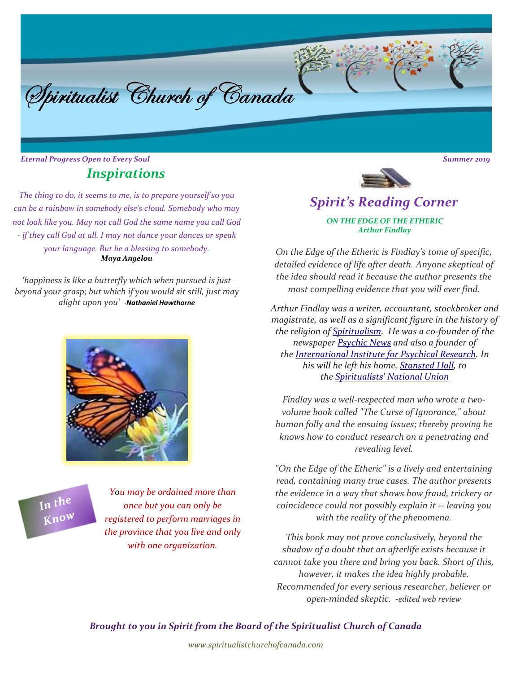# *Inspirations*

Spiritualist Church of Canada

*The thing to do, it seems to me, is to prepare yourself so you can be a rainbow in somebody else's cloud. Somebody who may not look like you. May not call God the same name you call God - if they call God at all. I may not dance your dances or speak your language. But be a blessing to somebody. Maya Angelou*

*'happiness is like a butterfly which when pursued is just beyond your grasp; but which if you would sit still, just may alight upon you' -Nathaniel Hawthorne*



In the Know

*You may be ordained more than once but you can only be registered to perform marriages in the province that you live and only with one organization.*



## *Spirit's Reading Corner ON THE EDGE OF THE ETHERIC Arthur Findlay*

*On the Edge of the Etheric is Findlay's tome of specific, detailed evidence of life after death. Anyone skeptical of the idea should read it because the author presents the most compelling evidence that you will ever find.*

*Arthur Findlay was a writer, accountant, stockbroker and magistrate, as well as a significant figure in the history of the religion of [Spiritualism.](https://en.wikipedia.org/wiki/Spiritualism) He was a co-founder of the newspaper [Psychic News](https://en.wikipedia.org/wiki/Psychic_News) and also a founder of the [International Institute for Psychical Research.](https://en.wikipedia.org/wiki/International_Institute_for_Psychical_Research) In his will he left his home, [Stansted Hall,](https://en.wikipedia.org/wiki/Stansted_Hall) to the [Spiritualists' National Union](https://en.wikipedia.org/wiki/Spiritualists%27_National_Union)*

*Findlay was a well-respected man who wrote a twovolume book called "The Curse of Ignorance," about human folly and the ensuing issues; thereby proving he knows how to conduct research on a penetrating and revealing level.*

*"On the Edge of the Etheric" is a lively and entertaining read, containing many true cases. The author presents the evidence in a way that shows how fraud, trickery or coincidence could not possibly explain it -- leaving you with the reality of the phenomena.*

*This book may not prove conclusively, beyond the shadow of a doubt that an afterlife exists because it cannot take you there and bring you back. Short of this, however, it makes the idea highly probable. Recommended for every serious researcher, believer or open-minded skeptic. -edited web review*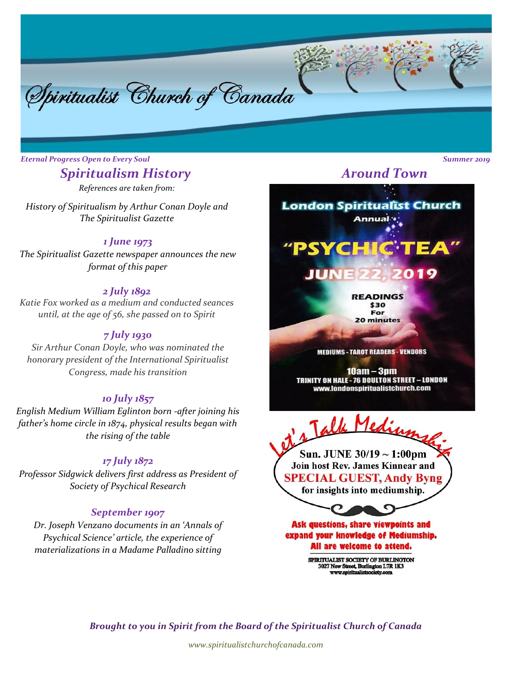

# *Spiritualism History*

*References are taken from:*

*History of Spiritualism by Arthur Conan Doyle and The Spiritualist Gazette*

#### *1 June 1973*

*The Spiritualist Gazette newspaper announces the new format of this paper*

#### *2 July 1892*

*Katie Fox worked as a medium and conducted seances until, at the age of 56, she passed on to Spirit* 

#### *7 July 1930*

*Sir Arthur Conan Doyle, who was nominated the honorary president of the International Spiritualist Congress, made his transition*

#### *10 July 1857*

*English Medium William Eglinton born -after joining his father's home circle in 1874, physical results began with the rising of the table* 

#### *17 July 1872*

*Professor Sidgwick delivers first address as President of Society of Psychical Research*

#### *September 1907*

*Dr. Joseph Venzano documents in an 'Annals of Psychical Science' article, the experience of materializations in a Madame Palladino sitting*

*Around Town*

**London Spiritualist Church** Annual<sup>to</sup> "PSYCHIC<sup>.</sup>T

> **JUNE 22,** 2019

> > **READINGS** \$30 For 20 minutes

**MEDIUMS - TAROT READERS - VENDORS** 

 $10am - 3pm$ TRINITY ON HALE - 76 DOULTON STREET - LONDON www.londonspiritualistchurch.com



for insights into mediumship.

**SPECIAL GUEST, Andy Byng** 

Ask questions, share viewpoints and expand your knowledge of Mediumship. All are welcome to attend.

> SPIRITUALIST SOCIETY OF BURLINGTON 3027 New Street, Burlington L7R 1K3<br>www.spiritualistsociety.com

*Brought to you in Spirit from the Board of the Spiritualist Church of Canada* 

*www.spiritualistchurchofcanada.com*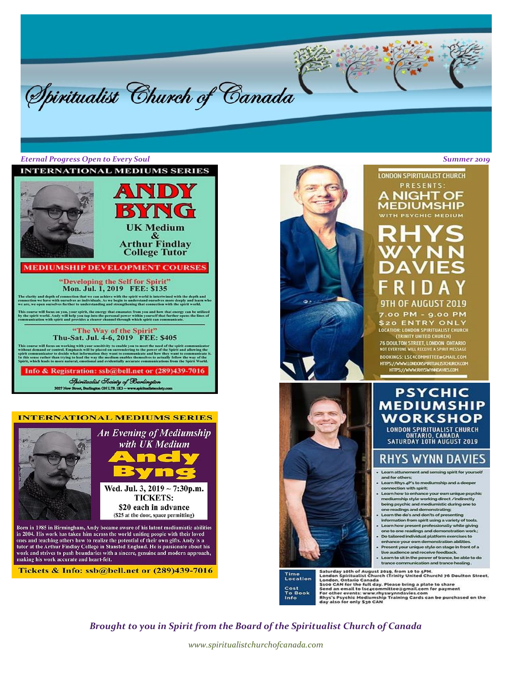



#### **INTERNATIONAL MEDIUMS SERIES**



tutor at the Arthur Findlay College in Stansted England. He is passionate about his work and strives to push boundaries with a sincere, genuine and modern approach, making his work accurate and heart-felt.

Tickets & Info: ssb@bell.net or (289)439-7016



#### **LONDON SPIRITUALIST CHURCH** PRESENTS:

**NIGHT OF MEDIUMSHIP** WITH PSYCHIC MEDIUM

# 9TH OF AUGUST 2019

7.00 PM - 9.00 PM **\$20 ENTRY ONLY** LOCATION: LONDON SPIRITUALIST CHURCH (TRINITY UNITED CHURCH)

76 DOULTON STREET, LONDON ONTARIO<br>NOT EVERYONE WILL RECEIVE A SPIRIT MESSAGE BOOKINGS: LSC4COMMITTEE@GMAIL.COM https://www.londonspritualistoria.com<br>https://www.rhyswynneawes.com

## **PSYCHIC MEDIUMSHIP WORKSHOP**

**LONDON SPIRITUALIST CHURCH** ONTARIO, CANADA<br>SATURDAY 10TH AUGUST 2019

## **RHYS WYNN DAVIES**

- Learn attunement and sensing spirit for yourself and for others:<br>Learn Rhys 4P's to mediumship and a deeper
- connection with spirit:
- Learn how to enhance your own unique psychic mediumship style working direct /indirectly<br>being psychic and mediumistic during one to<br>one readings and demonstrating:
- Learn the do's and don'ts of presenting information from spirit using a variety of tools.
- Learn how present professionally while giving<br>one to one readings and demonstration work:<br>- Do tailored individual platform exercises to
- enhance your own demonstration abilities. Present your unique style on stage in front of a<br>live audience and receive feedback. i.
- Learn to sit in the power of trance, be able to do<br>trance communication and trance healing.

Saturday 10th of August 2019, from 10 to 5PM.<br>London Spiritualist Church (Trinity United Church) 76 Doulton Street,<br>London, Ontario Canada<br>Seco CAN for the full day. Please bring a plate to share<br>Send an email to isoccommi

*Brought to you in Spirit from the Board of the Spiritualist Church of Canada* 

Time<br>Location Cost<br>To Book<br>Info

*www.spiritualistchurchofcanada.com*